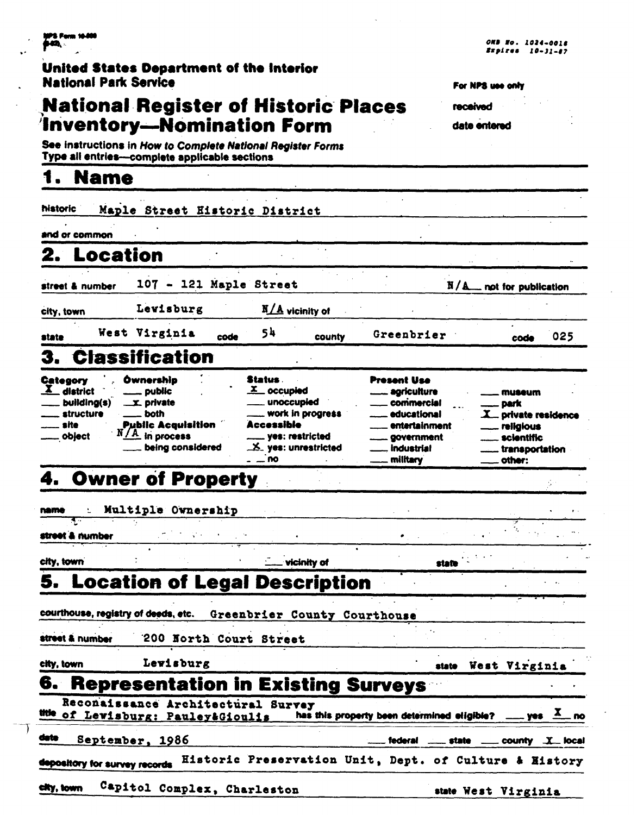#### United States Department of the Interior **National Park Service**

## **National Register of Historic Places Inventory-Nomination Form**

For NPS use only

received date entered

See instructions in How to Complete National Register Forms Type all entries-complete applicable sections

#### **Name** 4

| <b>Nistoric</b>                                                                             | Maple Street Historic District                                                                                                |                                                                                                                                     |                                                                                                                    |                                                                                            |
|---------------------------------------------------------------------------------------------|-------------------------------------------------------------------------------------------------------------------------------|-------------------------------------------------------------------------------------------------------------------------------------|--------------------------------------------------------------------------------------------------------------------|--------------------------------------------------------------------------------------------|
| ind or common                                                                               |                                                                                                                               |                                                                                                                                     |                                                                                                                    |                                                                                            |
| Location<br>2.                                                                              |                                                                                                                               |                                                                                                                                     |                                                                                                                    |                                                                                            |
|                                                                                             |                                                                                                                               |                                                                                                                                     |                                                                                                                    |                                                                                            |
| street & number                                                                             | 107 - 121 Maple Street                                                                                                        |                                                                                                                                     | N/A                                                                                                                | not for publication                                                                        |
| .<br>city, town                                                                             | Levisburg                                                                                                                     | N/A vicinity of                                                                                                                     |                                                                                                                    |                                                                                            |
| state                                                                                       | West Virginia<br>code                                                                                                         | 54<br>county                                                                                                                        | Greenbrier                                                                                                         | 025<br>code                                                                                |
|                                                                                             | 3. Classification                                                                                                             |                                                                                                                                     |                                                                                                                    |                                                                                            |
| Category<br>$\underline{\mathbf{X}}$ district<br>building(s)<br>structure<br>site<br>object | <b>Ownership</b><br>. public<br><b>X</b> private<br>both<br><b>Public Acquisition</b><br>$N/A$ in process<br>being considered | Status :<br>$X$ occupied<br>__ unoccupied<br>work in progress<br>Accessible<br><b>yes: restricted</b><br>X. yes: unrestricted<br>no | Present Use<br>agriculture<br>. commercial<br>educational<br>entertainment<br>government<br>industrial<br>military | museum<br>park<br>private residence<br>religious<br>scientific<br>transportation<br>other: |
| ww<br>street & number                                                                       | 4. Owner of Property<br>Multiple Ownership                                                                                    |                                                                                                                                     |                                                                                                                    |                                                                                            |
| :ity, town                                                                                  |                                                                                                                               | vicinity of                                                                                                                         | state                                                                                                              |                                                                                            |
| 5.                                                                                          | <b>Location of Legal Description</b>                                                                                          |                                                                                                                                     |                                                                                                                    |                                                                                            |
| courthouse, registry of deeds, etc.                                                         |                                                                                                                               | Greenbrier County Courthouse                                                                                                        |                                                                                                                    |                                                                                            |
| itreet & number                                                                             | 200 North Court Street                                                                                                        |                                                                                                                                     |                                                                                                                    |                                                                                            |
| :ity, town                                                                                  | Lewisburg                                                                                                                     |                                                                                                                                     |                                                                                                                    | state West Virginia                                                                        |
| 5. L                                                                                        | <b>Representation in Existing Surveys</b>                                                                                     |                                                                                                                                     |                                                                                                                    |                                                                                            |
|                                                                                             | Reconaissance Architectural Survey<br>tte of Lewisburg: Pauley&Gioulis                                                        |                                                                                                                                     | has this property been determined eligible?                                                                        | yes.<br>. no                                                                               |
| late                                                                                        | September, 1986                                                                                                               |                                                                                                                                     |                                                                                                                    | federal  state  county X. local                                                            |
|                                                                                             | epository for survey records Historic Preservation Unit, Dept. of Culture & History                                           |                                                                                                                                     |                                                                                                                    |                                                                                            |
|                                                                                             |                                                                                                                               |                                                                                                                                     |                                                                                                                    |                                                                                            |

Capitol Complex, Charleston city, town

state West Virginia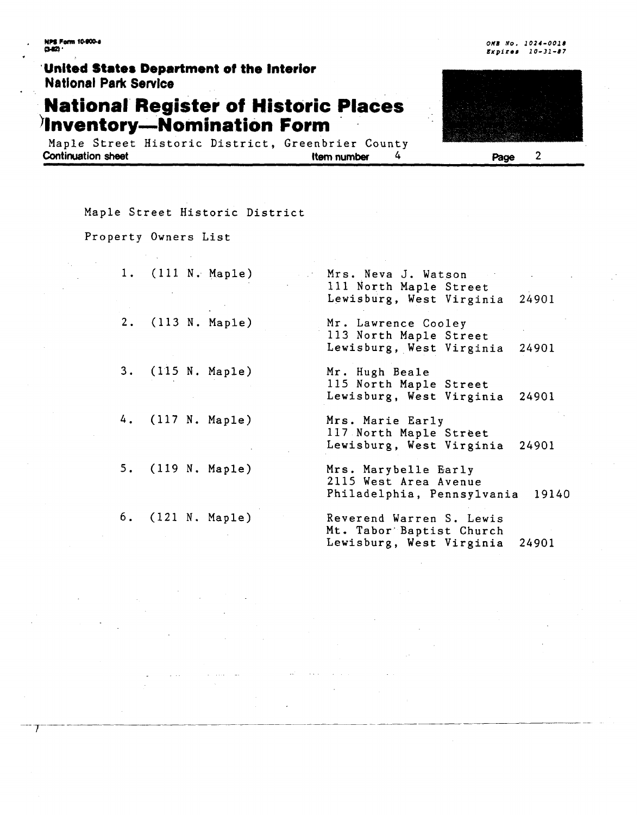United States Department of the Interior **National Park Service** 

### **National Register of Historic Places hventory-Nomination Form** -

Maple Street Historic District, Greenbrier County<br>**Continuation sheet Continuation sheet Continuation** sheet

Maple Street Historic District

Property Owners List

**3.** (115 N. Maple) Mr. Hugh Beale

4. (117 N. Maple) Mrs. Marie Early

1. (111 N. Maple) Mrs. Neva J. Watson 111 North Maple Street Lewisburg, West Virginia 24901

**2.** (113 N. Maple) Mr. Lawrence Cooley 113 North Maple Street Lewisburg, West Virginia 24901

> 115 North Maple Street Lewisburg, West Virginia 24901

> 117 North Maple Street Lewisburg, West Virginia 24901

5. (119 N. Maple) Mrs. Marybelle Early 2115 West Area Avenue Philadelphia, Pennsylvania 19140

6. (121 N. Maple) Reverend Warren S. Lewis Mt. Tabor' Baptist Church Lewisburg, West Virginia 24901



Page

 $\overline{2}$ 

. **mc0n11ro.100~ ona NO. 1024-0018 empt 10-900-8**<br> **email of the state of the state of the state of the state of the state of the state of the state of the state of the state of the state of the state of the state of the state of the state of the state of**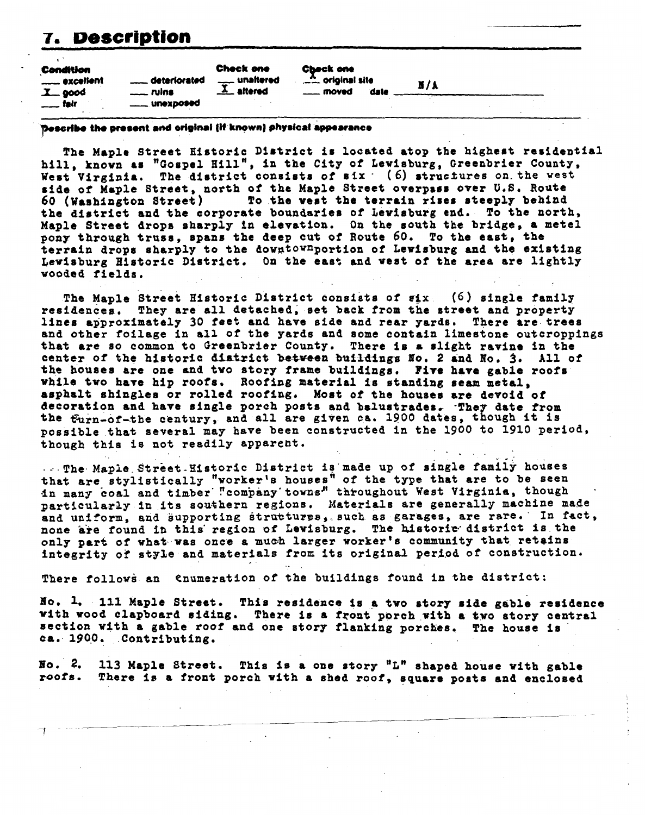#### **7. Description**

| Condition<br><b>Excellent</b><br>$\underline{\mathbf{X}}$ good | <b>Example 12</b> deteriorated<br>$-$ ruins | Check one<br>___ unaltered<br>$A$ altered | Check one<br>$\frac{A}{2}$ original site<br>date<br><u>__</u> __ moved | $X/\Lambda$ |  |
|----------------------------------------------------------------|---------------------------------------------|-------------------------------------------|------------------------------------------------------------------------|-------------|--|
| $-$ talr                                                       | $\frac{1}{2}$ unexposed                     |                                           |                                                                        |             |  |

- -

Describe the present and original (if known) physical appearance

The Maple Street Historic District is located atop the highest residential hill, known as "Gospel Hill", in the City of Lewisburg, Greenbrier County, West Virginia. The district consists of  $s1x$  (6) structures on the west side of Maple Street, north of the Maple Street overpass over U.S. Route 60 (Washington Street) To the west the terrain rises steeply behind the district and the corporate boundaries of Lewisburg end. To the north, Maple Street drops sharply in elevation. On the south the bridge, a netel pony through truss, spans the deep cut of Route 60. To the east, the terrain drops sharply to the downtownportion of Lewisburg and the existing Lewisburg Historic District. **On** the east and west of the area are lightly wooded fields.

The Maple Street Historic District consists of **six** (6) single family residences. They are all detached, set back from the street and property lines approximately 30 feet and have side and rear yards. There are trees and other foilage in all of the yards and some contain limestone outcroppings that are so common to Greenbrier County. There is a slight ravine In the center of the historic district between buildings No. 2 and No. 3. All of **the** houses are one and two story frame buildings. Five have gable roofs while two have hip roofs. Roofing material is standing **ream** metal, asphalt shingles or rolled roofing. Most of the houses are devoid of decoration and have single porch posts and balustrades, **-They** date from the furn-of-the century, and all are given ca. 1900 dates, though it is possible that several may have been constructed in the 1900 to 1910 period, though this is not readily apparent.

- The Maple Street-Historic District is made up of single family houses that are stylistically "worker's houses" of the type that are to be seen in many coal and timber "company towns" throughout West Virginia, though particularly in its southern regions. Materials are generally machine made and uniform, and supporting struttures, such as garages, are rare. In fact, none are found in this region of Lewisburg. The historic district is the only **part** of whaDe.was once a auc:h larger worker's community **that** retains integrity of style and materials from its original period of construction.

There follows an enumeration of the buildings found in the district:

**So. 1.** 111 Maple Street. Thie residence 1s **a** two story aide gable residence with wood clapboard siding. There is a front porch with a two story central section with a gable roof and one story flanking porches. The house is ca. 1900. Contributing.

**o 8.** 113 Maple Street. Thie **is** a one story **"L"** shaped house with gable roofs. There is a front porch **vith** a **shed** roof, square posts and enclosed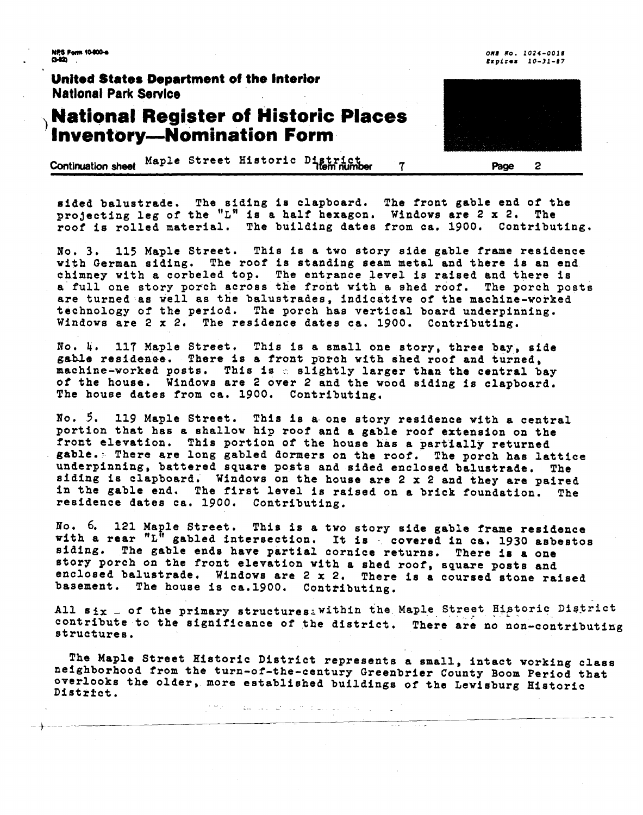**NRS Form 10-800-a**  $\overline{\mathbf{c}}$ 

**United States Department of the Interior Natlonat Park Sewice** 

#### **National Register of Historic Places Inventory-Nomination Form**

ONB No. 1024-0018 Expires 10-31-87



**Continuation sheet Maple Street Historic District** 

aided balustrade. The siding is clapboard. The front gable end of the projecting leg of the "L" is a half hexagon. Windows are 2 x 2. roof is rolled material. The building dates from ca, 1900. Contributing,

No. 3. 115 Maple Street. This is a two story side gable frame residence with German siding. The roof is standing seam metal and there is an end chimney with a corbeled top. The entrance level is raised and there is a full one story porch across the front with a shed roof, The porch posts are turned as well as the balustrades, indicative of the machine-worked technology of the period. The porch has vertical board underpinning. Windows are 2 **x** 2. The residence dates ca. 1900. Contributing.

no. 4. **117** Maple Street. This is a small one story, three bay, side gable residence. There is a front porch with shed roof and turned, machine-worked posts. This is a slightly larger than the central bay of the house. Windows are **2** over **2** and the wood siding is clapboard. The house dates from ca. 1900. Contributing,

No. **f.** 119 Maple Street, This is a one story residence with a central portion that has a shallow hip roof and a gable roof extension on the front elevation. This portion of the house has a partially returned gable,= There are long gabled dormers on the roof. The porch has lattice underpinning, battered square posts and sided enclosed balustrade. The siding is clapboard; Windows on the house are 2 **x** 2 and they are paired in the gable end. The first level is raised on **s** brick foundation. The residence dates ca. 1900. Contributing.

no, 6. 121 Maple Street. This is a two story side gable frame residence with a rear "L<sup>it</sup> gabled intersection. It is covered in ca. 1930 asbestos siding. The gable ends have partial cornice returns. There is a one story porch on the front elevation with a shed roof, square posts and enclosed balustrade. Windows are 2 **x** 2. There is a coursed stone raised basement. The house is ca.1900. Contributing.

All s<sub>ix</sub> \_ of the primary structures. within the Maple Street Historic District contribute to the significance of the district. There are no non-contributing structures.

The Maple Street Historic District represents a small, **intact** working class neighborhood from the turn-of-the-century Greenbrier County Boom Period that overlooks the older, more established buildings of the Levisburg Historic District.

الوارية فالكوابط فالعالمات هوالمناعيف الممعجج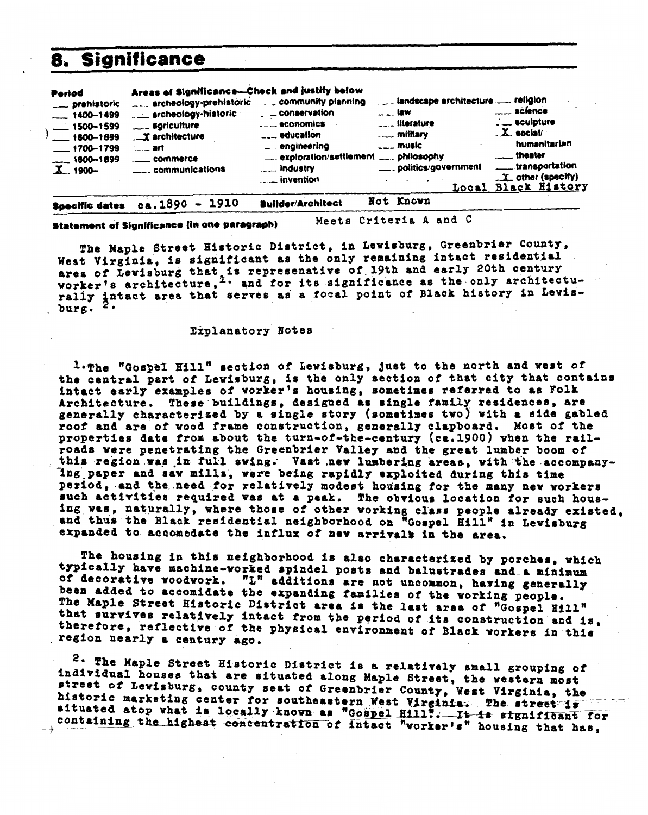#### **Significance**

| Specific dates ca. 1890                                                                                                           | $-1910$                                                                                                                                                                        | <b>Builder/Architect</b>                                                                                                                                                                                        | Not Known                                                                                                               | Local Black History                                                                                                                        |
|-----------------------------------------------------------------------------------------------------------------------------------|--------------------------------------------------------------------------------------------------------------------------------------------------------------------------------|-----------------------------------------------------------------------------------------------------------------------------------------------------------------------------------------------------------------|-------------------------------------------------------------------------------------------------------------------------|--------------------------------------------------------------------------------------------------------------------------------------------|
| Portod<br>__ prehistoric<br>$- 1400 - 1499$<br>$-1500 - 1599$<br>$-1600 - 1699$<br>$-1700 - 1799$<br>$-1800 - 1899$<br>$X.1900 -$ | Areas of Significance-Check and justify below<br>----- archeology-prehistoric<br>archeology-historic<br><b>X</b> architecture<br>$---$ art<br>commerce<br>_____ communications | . _ community planning<br>$\ldots$ conservation<br>$---$ economics<br>$\overline{a}$ education<br>_ engineering<br>exploration/settlement  philosophy<br><b>Electric industry</b><br><b>Example 1</b> invention | landscape architecture religion<br>$\sim$ . law<br>$\overline{a}$ Ilterature<br>$---$ music<br>____ politics/government | $\ldots$ science<br>$\therefore$ sculpture<br>$X$ social/<br>humanitarian<br><u>_</u> ___ theater<br>transportation<br>$X$ other (specify) |

Meets Criteria A and C Statement of Significance (in one paragraph)

The Maple Street Historic District, in Lewisburg, Greenbrier County, West Virginia, is significant as the only remaining intact residential area of Lewisburg that is represenative of 19th and early 20th century<br>worker's architecture,<sup>1</sup> and for its significance as the only architecturally intact area that serves as a focal point of Black history in Lewis-<br>burg. 2.

#### Explanatory Notes

1. The "Gospel Hill" section of Lewisburg, just to the north and west of the central part of Lewisburg, is the only section of that city that contains intact early examples of worker's housing, sometimes referred to as Folk<br>Architecture. These buildings, designed as single family residences, are generally characterized by a single story (sometimes two) with a side gabled roof and are of wood frame construction, generally clapboard. Most of the properties date from about the turn-of-the-century (ca.1900) when the railroads were penetrating the Greenbrier Valley and the great lumber boom of this region was in full swing. Vast new lumbering areas, with the accompanying paper and saw mills, were being rapidly exploited during this time period, and the need for relatively modest housing for the many new workers such activities required was at a peak. The obvious location for such housing was, naturally, where those of other working class people already existed, and thus the Black residential neighborhood on "Gospel Hill" in Lewisburg expanded to accombdate the influx of new arrivals in the area.

The housing in this neighborhood is also characterized by porches, which typically have machine-worked spindel posts and balustrades and a minimum of decorative woodwork. "L" additions are not uncommon, having generally been added to accomidate the expanding families of the working people. The Maple Street Historic District area is the last area of "Gospel Hill" that survives relatively intact from the period of its construction and is, therefore, reflective of the physical environment of Black workers in this region nearly a century ago.

2. The Maple Street Historic District is a relatively small grouping of individual houses that are situated along Maple Street, the western most street of Lewisburg, county seat of Greenbrier County, West Virginia, the historic marketing center for southeastern West Virginia. The street is containing the highest concentration of intact "worker's" housing that has,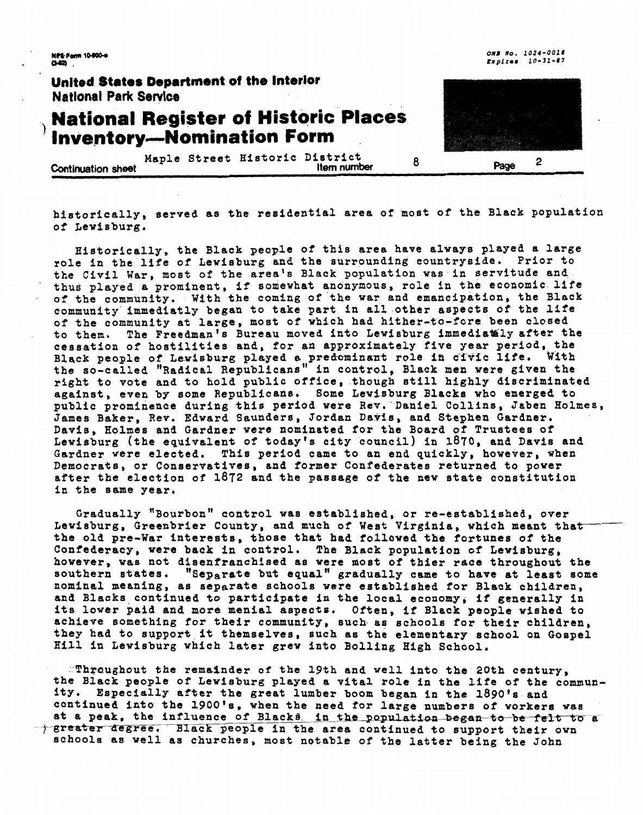**NMCm 104W-a Cwzl,** 

**United States Department of the Interior Natlonat Park Sewice** 

## **National Register of Historic Places Inventory-Nomination Form**

**OUB No. 1024-0018**  *Expires* **10-31-87** 

Maple Street Historic District 8 **Page 2**<br> **Continuation sheet Page 2** 



historically, served as the residential area of most of the Black population of Lewisburg.

Eistorically, the Black people of this area have always played a large role in the life of Lewisburg and the surrounding countryside. Prior to the Civil War, most of the area's Black population was in servitude and thus played a prominent, if somewhat anonymous, role in the economic life of the community. With the coming of the war and emancipation, the Black community immediatly began to take part in a11 other aspects of the life of the community at large, most of which had hither-to-fore been closed to them. The Freedman's Bureau moved into Lewisburg immediately after the cessation of hostilities and, for an approximately five year period, the Black people of Lewisburg played a predominant role in civic life. With the so-called "Radical Republicans" in control, Black men were given the right to vote and to hold public office, though still highly discriminated against, even by some Republicans. Some Lewisburg Blacks who emerged to public prominence during this period were Rev, Daniel Collins, Jaben Holmes, James Baker, Rev. Edward Saunders, Jordan Davis, and Stephen Gardner. Davis, Holmes and Gardner were nominated for the Board of Trustees of Lewisburg (the equivalent of today's city council) in 1870, and Davis and Gardner were elected. This period came to an end quickly, however, when Democrats, or Conservatives, and former Confederates returned to power after the election of 1872 and the passage of the new state constitution in the same year.

Gradually "Bourbon" control was established, or re-established, over Lewisburg, Greenbrier County, and much of West Virginia, which meant that the old pre-War interests, those that had followed the fortunes of the Confederacy, were back in control. The Black population of Lewisburg, however, was not disenfranchised as were most of thier race throughout the southern states. "Separate but equal" gradually came to have at least some nominal meaning, as separate schools were established for Black children, and Blacks continued to participate in the local economy, if generally in its lower paid and **more** menial aspects. Often, if Black people wished to achieve something for their community, such as schools for their children, they had to support it themselves, such as the elementary school on Goapel Hill in Lewisburg which later grew into Bolling Eigh School.

'Throughout the remainder of the 19th and well into the 20th century, the Black people of Lewisburg played a vital role **fn** the life of the **commun-** - Ity. Especially after the great lumber boom began in the 1890's and continued into the 1900's, when the need for large numbers of workers was continued into the 1900's, when the need for large numbers of workers was<br>at a peak, the influence of Blacks, in the population began to be felt to a at a peak, the influence of Blacks, in the population began to be felt to<br>*Figures theoree.* Black people in the area continued to support their own sreater degree. Black people in the area continued to support their own<br>schools as well as churches, most notable of the latter being the John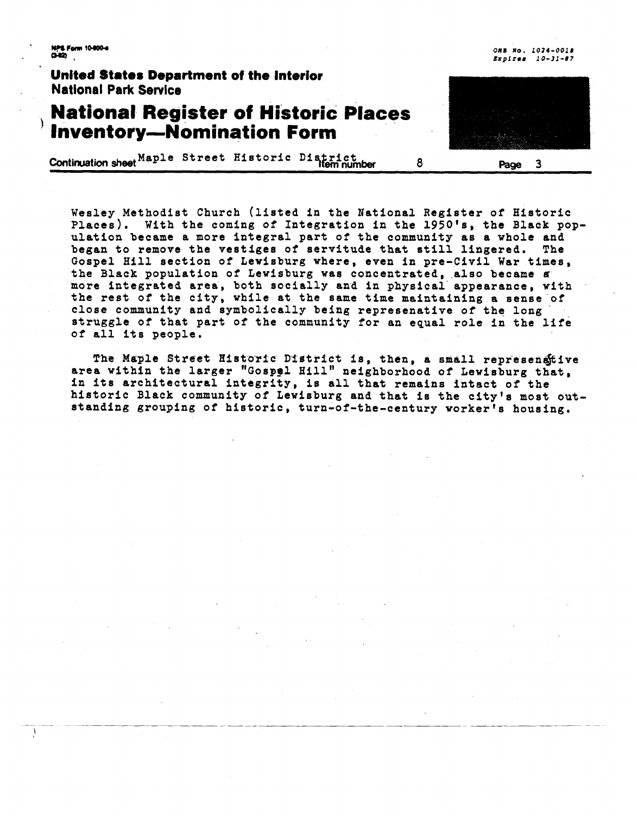NPS Form 10-800-a  $\overline{\mathbf{a}}$ 

**United States Department of the Interior National Park Senrlce** 

# **National Register of Historic Places** ' **Inventory-Nomination Form**

**Continuation sheet** Maple Street Historic District **8 Page 3** 

Wesley Methodist Church (listed in the National Register of Historic Places). With the coming of Integration in the 1950's, the Black population became a more integral part of the community as a whole and began to remove the vestiges of servitude that still lingered. The Gospel Hill section of Lewisburg where, even in pre-Civil War times, the Black population of Lewisburg was concentrated, also became a more integrated area, both socially and in physical appearance, with the rest of the city, while at the same time maintaining a sense of close community and symbolically being represenative of the long struggle of that part of the community for an equal role in the life of all its people.

The Maple Street Historic District is, then, a small represenative area within the larger "Gospel Hill" neighborhood of Lewisburg that, in its architectural integrity, is all that remains intact of the historic Black community of Lewisburg and that is the city's most outstanding grouping of historic, turn-of-the-century worker's housing.



**ONB No. 1024-0018**  *Expire.* **10-31-87**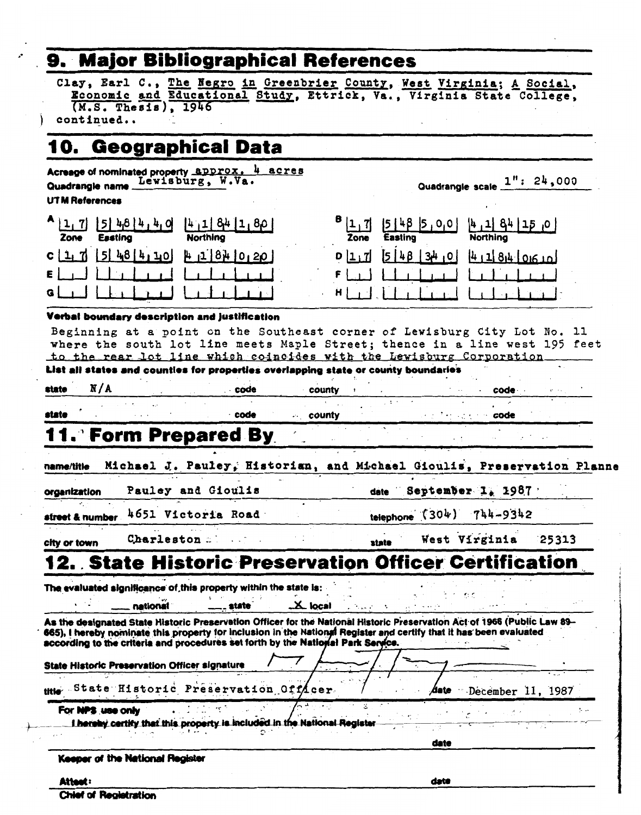|                                          | 9. Major Bibliographical References                                                                                                                                                                                                                                              |                    |                            |                                |       |
|------------------------------------------|----------------------------------------------------------------------------------------------------------------------------------------------------------------------------------------------------------------------------------------------------------------------------------|--------------------|----------------------------|--------------------------------|-------|
| continued                                | Clay, Earl C., The Negro in Greenbrier County, West Virginia; A Social,<br>Economic and Educational Study, Ettrick, Va., Virginia State College,<br>$(M.S. The sls)$ , 1946                                                                                                      |                    |                            |                                |       |
|                                          | 10.  Geographical Data                                                                                                                                                                                                                                                           |                    |                            |                                |       |
| Quadrangle name<br><b>UTM References</b> | Acreage of nominated property <u>approx, 4 acres</u><br>Quadrangle name Lewisburg, W.Va.                                                                                                                                                                                         |                    |                            | Quadrangle scale $1'': 24,000$ |       |
| Easting<br>Zone                          | 5 48 4,40<br>41841180<br><b>Northing</b>                                                                                                                                                                                                                                         | Zone               | $48$ 5,0,0<br>Easting      | 4184150<br><b>Northing</b>     |       |
| C11.71                                   | $ 5 $ 48   4, 10<br>412184020                                                                                                                                                                                                                                                    | <u>11, ד</u> ן ס   | 5 48 34 0                  | 412840610                      |       |
|                                          | Verbal boundary description and justification<br>Beginning at a point on the Southeast corner of Lewisburg City Lot No. 11<br>where the south lot line meets Maple Street; thence in a line west 195 feet<br>to the rear lot line which coincides with the Lewisburg Corporation |                    |                            |                                |       |
|                                          | List all states and counties for properties overlapping state or county boundaries                                                                                                                                                                                               |                    |                            |                                |       |
| N/A<br>state<br>state                    | . code<br>· code                                                                                                                                                                                                                                                                 | county<br>. county |                            | code<br>code                   |       |
|                                          | <b>11. Form Prepared By</b>                                                                                                                                                                                                                                                      |                    |                            |                                |       |
| name/title                               | Michael J. Pauley, Historian, and Michael Gioulis, Preservation Planne                                                                                                                                                                                                           |                    |                            |                                |       |
| organization                             | Pauley and Gioulis                                                                                                                                                                                                                                                               |                    | date                       | September $1.1987$             |       |
| street & number                          | 4651 Victoria Road                                                                                                                                                                                                                                                               |                    | telephone (304) $744-9342$ |                                |       |
| city or town                             | Charleston                                                                                                                                                                                                                                                                       |                    | state                      | West Virginia                  | 25313 |
|                                          | State Historic Preservation Officer Certification                                                                                                                                                                                                                                |                    |                            |                                |       |

The evaluated significance of this property within the state is:

A. P.  $\_X$  local state \_ national الأوالد والأد  $\mathcal{H}_{\rm{max}}$  .  $\ddot{\phantom{a}}$ As the designated State Historic Preservation Officer for the National Historic Preservation Act of 1966 (Public Law 89-665), I hereby nominate this property for inclusion in the National Register and certify that it has been evaluated<br>according to the criteria and procedures set forth by the National Park Service.

| une State Historic Preservation Officer                                                      |  |  |  | December $11, 1987$ |  |
|----------------------------------------------------------------------------------------------|--|--|--|---------------------|--|
| For NPS use only<br>I hereby certify that this property is included in the National Register |  |  |  |                     |  |

Keeper of the National Register

Attest:

**Chief of Registration** 

tin es

 $\tilde{\mathcal{L}}$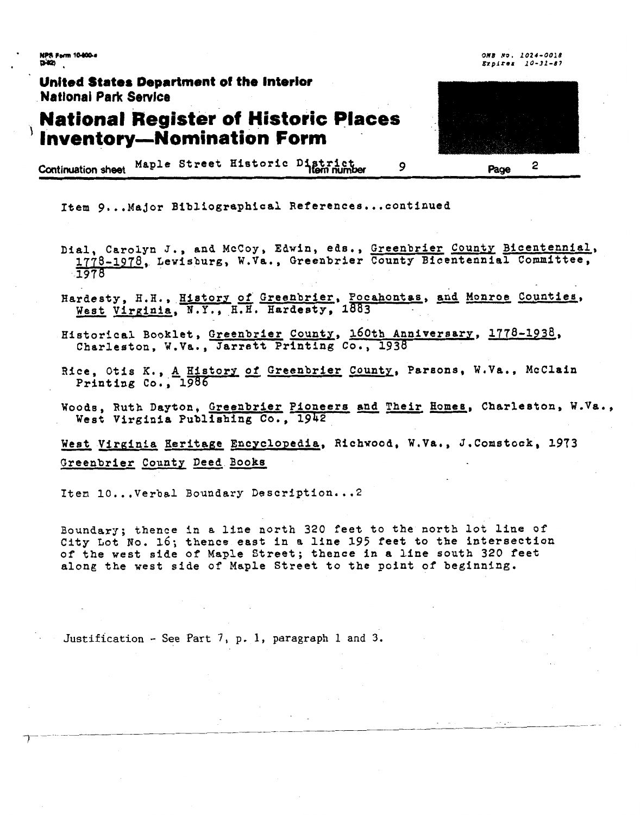**NPS Form 10-800-a**  $0 - 12$ 

**United States Department of the Interior National Park Senrice** 

### \ **National Register of Historic Places Inventory-Nomination Form**

**Continuation sheet Maple Street Historic District** 9

**Item g...Major Bibliographical References..,continued** 

- **Dial, Carolyn J., and McCoy, Edwin, ads., Greenbrier County Bicentennial, Lewisburg, W.Va., Greenbrier County Bicentennial Committee,**  1, Carolyn J., and McCoy, Edwin, eds., <u>Gr<br>778-1978</u>, Lewisburg, W.Va., Greenbrier Co<br>978<br>desty, H.H., <u>History of Greenbrier</u>, <u>Pocah</u><br>est Virginia, N.Y., H.H. Hardesty, 1883
- **Rardesty, H.H., History of Greenbrier, Pocahontas, and Monroe Counties,**
- **Historical Booklet, Oreenbrier County, 160th Anniversary, 1778-1938, Charleston, W.Va., Jarrett Printing Co., 1938**
- ice, Otis K., <u>A History of Greenbrier County</u>, Parsons, W.Va., McClain<br>Printing Co., 1986
- **Cods, Buth Dayton, Greenbrier Pioneers and Their Homes, Charleston, W.Ve West Virginia Publishing Co., 1942**

ice, Otis K., <u>A History of Greenbrier County</u>, Parsons, W.Va., McClain<br>Printing Co., 1986<br>oods, Ruth Dayton, <u>Greenbrier Pioneers and Their Homes</u>, Charleston, W.V<br>West Virginia Publishing Co., 1942<br>est Virginia Heritage **Greenbrier County Deed Books** 

**Item lO...Verbal Boundary Description...2** 

**Boundary; thence in a line north 320 feet to the north lot line of City** Lot **No. 16; thence east in a line 195 feet to the intersection of the west side of Maple Street; thence in a line south 320 feet along the west side of Maple Street to the point of beginning.** 

**~ustification** - **See Part 7, p. 1, paragraph 1 and 3.** 



ONB No. 1024-0018 Expires 10-31-87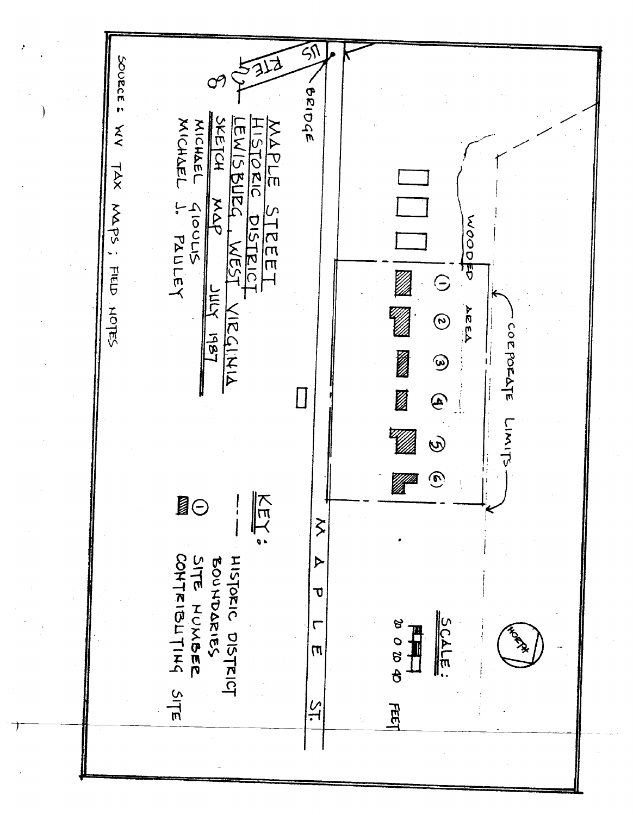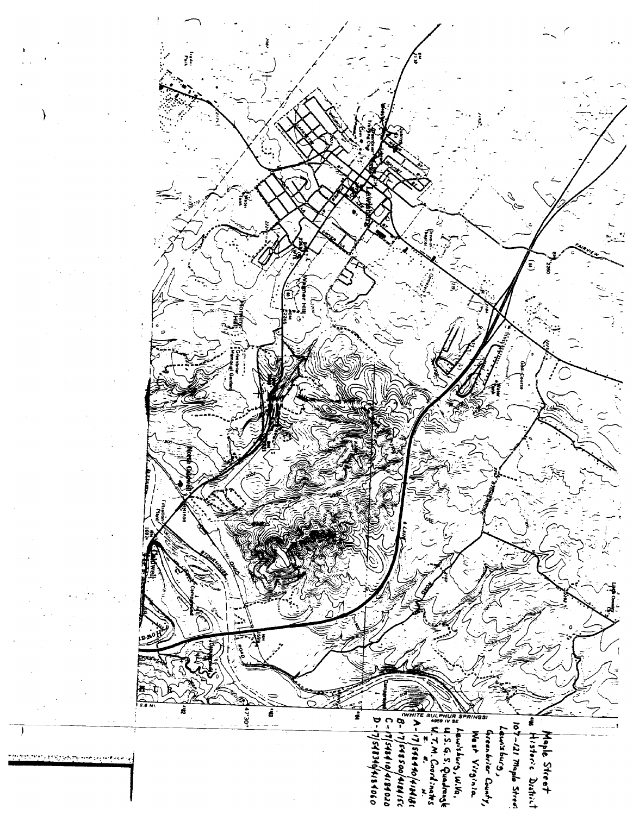

موجد فالوماء والمعوم المعربتين ويحتجب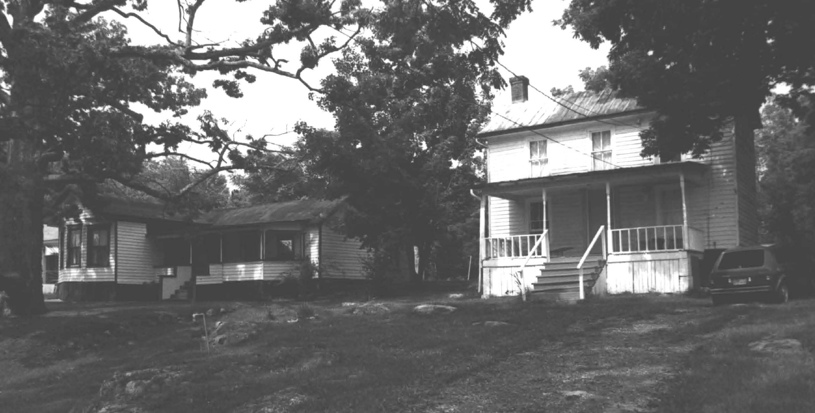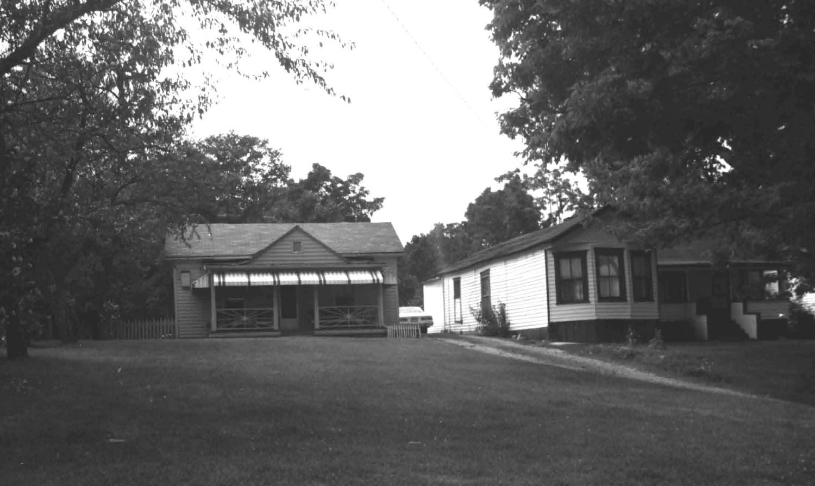